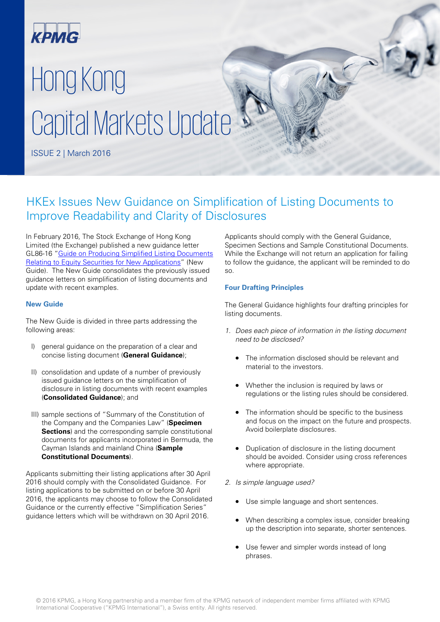

# Hong Kong Capital Markets Update

ISSUE 2 | March 2016

# HKEx Issues New Guidance on Simplification of Listing Documents to Improve Readability and Clarity of Disclosures

In February 2016, The Stock Exchange of Hong Kong Limited (the Exchange) published a new guidance letter GL86-16 ["Guide on Producing Simplified Listing Documents](http://en-rules.hkex.com.hk/net_file_store/new_rulebooks/g/l/gl8616.pdf)  [Relating to Equity Securities for New Applications"](http://en-rules.hkex.com.hk/net_file_store/new_rulebooks/g/l/gl8616.pdf) (New Guide). The New Guide consolidates the previously issued guidance letters on simplification of listing documents and update with recent examples.

# **New Guide**

The New Guide is divided in three parts addressing the following areas:

- I) general quidance on the preparation of a clear and concise listing document (**General Guidance**);
- II) consolidation and update of a number of previously issued guidance letters on the simplification of disclosure in listing documents with recent examples (**Consolidated Guidance**); and
- III) sample sections of "Summary of the Constitution of the Company and the Companies Law" (**Specimen Sections**) and the corresponding sample constitutional documents for applicants incorporated in Bermuda, the Cayman Islands and mainland China (**Sample Constitutional Documents**).

Applicants submitting their listing applications after 30 April 2016 should comply with the Consolidated Guidance. For listing applications to be submitted on or before 30 April 2016, the applicants may choose to follow the Consolidated Guidance or the currently effective "Simplification Series" guidance letters which will be withdrawn on 30 April 2016.

Applicants should comply with the General Guidance, Specimen Sections and Sample Constitutional Documents. While the Exchange will not return an application for failing to follow the guidance, the applicant will be reminded to do so.

# **Four Drafting Principles**

The General Guidance highlights four drafting principles for listing documents.

- 1. Does each piece of information in the listing document need to be disclosed?
	- The information disclosed should be relevant and material to the investors.
	- Whether the inclusion is required by laws or regulations or the listing rules should be considered.
	- The information should be specific to the business and focus on the impact on the future and prospects. Avoid boilerplate disclosures.
	- Duplication of disclosure in the listing document should be avoided. Consider using cross references where appropriate.
- 2. Is simple language used?
	- Use simple language and short sentences.
	- When describing a complex issue, consider breaking up the description into separate, shorter sentences.
	- Use fewer and simpler words instead of long phrases.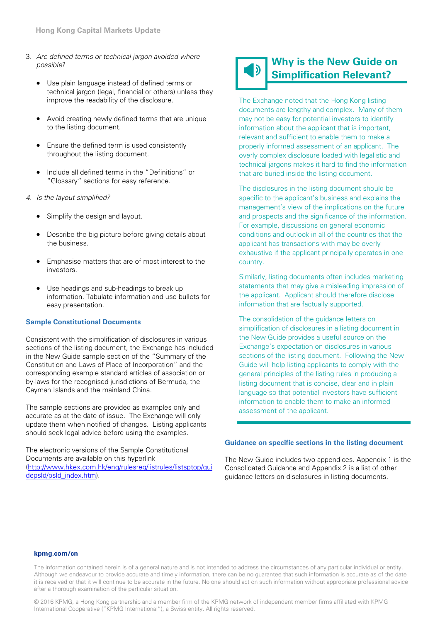- 3. Are defined terms or technical jargon avoided where possible?
	- Use plain language instead of defined terms or technical jargon (legal, financial or others) unless they improve the readability of the disclosure.
	- Avoid creating newly defined terms that are unique to the listing document.
	- Ensure the defined term is used consistently throughout the listing document.
	- Include all defined terms in the "Definitions" or "Glossary" sections for easy reference.
- 4. Is the layout simplified?
	- Simplify the design and layout.
	- Describe the big picture before giving details about the business.
	- Emphasise matters that are of most interest to the investors.
	- Use headings and sub-headings to break up information. Tabulate information and use bullets for easy presentation.

## **Sample Constitutional Documents**

Consistent with the simplification of disclosures in various sections of the listing document, the Exchange has included in the New Guide sample section of the "Summary of the Constitution and Laws of Place of Incorporation" and the corresponding example standard articles of association or by-laws for the recognised jurisdictions of Bermuda, the Cayman Islands and the mainland China.

The sample sections are provided as examples only and accurate as at the date of issue. The Exchange will only update them when notified of changes. Listing applicants should seek legal advice before using the examples.

The electronic versions of the Sample Constitutional Documents are available on this hyperlink [\(http://www.hkex.com.hk/eng/rulesreg/listrules/listsptop/gui](http://www.hkex.com.hk/eng/rulesreg/listrules/listsptop/guidepsld/psld_index.htm) [depsld/psld\\_index.htm\)](http://www.hkex.com.hk/eng/rulesreg/listrules/listsptop/guidepsld/psld_index.htm).

# **Why is the New Guide on Simplification Relevant?**

The Exchange noted that the Hong Kong listing documents are lengthy and complex. Many of them may not be easy for potential investors to identify information about the applicant that is important, relevant and sufficient to enable them to make a properly informed assessment of an applicant. The overly complex disclosure loaded with legalistic and technical jargons makes it hard to find the information that are buried inside the listing document.

The disclosures in the listing document should be specific to the applicant's business and explains the management's view of the implications on the future and prospects and the significance of the information. For example, discussions on general economic conditions and outlook in all of the countries that the applicant has transactions with may be overly exhaustive if the applicant principally operates in one country.

Similarly, listing documents often includes marketing statements that may give a misleading impression of the applicant. Applicant should therefore disclose information that are factually supported.

The consolidation of the guidance letters on simplification of disclosures in a listing document in the New Guide provides a useful source on the Exchange's expectation on disclosures in various sections of the listing document. Following the New Guide will help listing applicants to comply with the general principles of the listing rules in producing a listing document that is concise, clear and in plain language so that potential investors have sufficient information to enable them to make an informed assessment of the applicant.

#### **Guidance on specific sections in the listing document**

The New Guide includes two appendices. Appendix 1 is the Consolidated Guidance and Appendix 2 is a list of other guidance letters on disclosures in listing documents.

#### **[kpmg.com/cn](www.kpmg.com/cn)**

The information contained herein is of a general nature and is not intended to address the circumstances of any particular individual or entity. Although we endeavour to provide accurate and timely information, there can be no guarantee that such information is accurate as of the date it is received or that it will continue to be accurate in the future. No one should act on such information without appropriate professional advice after a thorough examination of the particular situation.

© 2016 KPMG, a Hong Kong partnership and a member firm of the KPMG network of independent member firms affiliated with KPMG International Cooperative ("KPMG International"), a Swiss entity. All rights reserved.